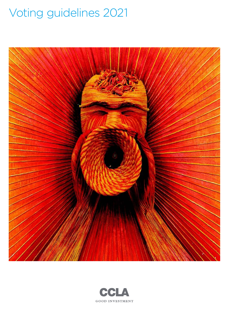# Voting guidelines 2021



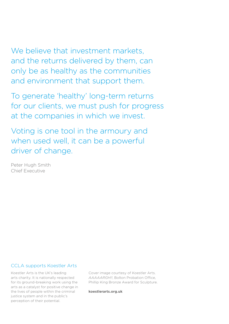We believe that investment markets. and the returns delivered by them, can only be as healthy as the communities and environment that support them.

To generate 'healthy' long-term returns for our clients, we must push for progress at the companies in which we invest.

Voting is one tool in the armoury and when used well, it can be a powerful driver of change.

Peter Hugh Smith Chief Executive

### CCLA supports Koestler Arts

Koestler Arts is the UK's leading arts charity. It is nationally respected for its ground-breaking work using the arts as a catalyst for positive change in the lives of people within the criminal justice system and in the public's perception of their potential.

Cover image courtesy of Koestler Arts. *AAAAARGH!!*, Bolton Probation Office, Phillip King Bronze Award for Sculpture.

**[koestlerarts.org.uk](http://www.koestlerarts.org.uk)**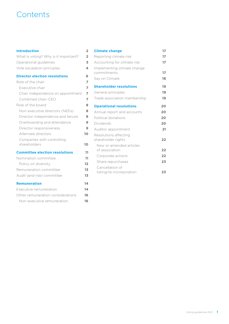## **Contents**

#### **[Introduction](#page-3-0) 2**

| $\overline{2}$ |
|----------------|
| 3              |
| 4              |
| 6              |
| 7              |
|                |
| 7              |
| 7              |
| 7              |
| 8              |
| 8              |
| 8              |
| 9              |
| 9              |
| 10             |
|                |
| 10             |
| 11             |
| 11             |
| 12             |
| 13             |
| 13             |
| 14             |
| 14             |
| 16             |
| 16             |
|                |

| 2      | <b>Climate change</b>          | 17 |
|--------|--------------------------------|----|
| 2      | Reporting climate risk         | 17 |
| 3      | Accounting for climate risk    | 17 |
| 4      | Implementing climate change    |    |
|        | commitments                    | 17 |
| 5<br>7 | Say on Climate                 | 18 |
| 7      | <b>Shareholder resolutions</b> | 19 |
| 7      | General principles             | 19 |
| 7      | Trade association membership   | 19 |
| B      | <b>Operational resolutions</b> | 20 |
| B      | Annual report and accounts     | 20 |
| B      | Political donations            | 20 |
| 9      | Dividends                      | 20 |
| 9      | Auditor appointment            | 21 |
| Ć      | Resolutions affecting          |    |
|        | shareholder rights             | 22 |
| C      | New or amended articles        |    |
| 1      | of association                 | 22 |
| 1      | Corporate actions              | 22 |
| 2      | Share repurchases              | 23 |
| 3      | Cancellation of                |    |
| 3      | listing/re-incorporation       | 23 |
|        |                                |    |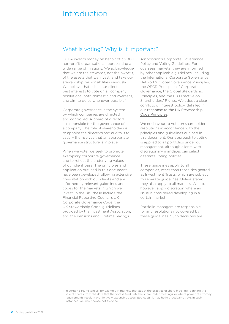## <span id="page-3-0"></span>Introduction

### What is voting? Why is it important?

CCLA invests money on behalf of 33,000 non-profit organisations, representing a wide range of missions. We acknowledge that we are the stewards, not the owners, of the assets that we invest, and take our stewardship responsibilities seriously. We believe that it is in our clients' best interests to vote on all company resolutions, both domestic and overseas, and aim to do so whenever possible.<sup>1</sup>

Corporate governance is the system by which companies are directed and controlled. A board of directors is responsible for the governance of a company. The role of shareholders is to appoint the directors and auditors to satisfy themselves that an appropriate governance structure is in place.

When we vote, we seek to promote exemplary corporate governance and to reflect the underlying values of our client base. The principles and application outlined in this document have been developed following extensive consultation with our clients and are informed by relevant guidelines and codes for the markets in which we invest. In the UK, these include the Financial Reporting Council's UK Corporate Governance Code, the UK Stewardship Code, guidelines provided by the Investment Association, and the Pensions and Lifetime Savings

Association's Corporate Governance Policy and Voting Guidelines. For overseas markets, they are informed by other applicable guidelines, including the International Corporate Governance Network's Global Governance Principles, the OECD Principles of Corporate Governance, the Global Stewardship Principles, and the EU Directive on Shareholders' Rights. We adopt a clear conflicts of interest policy, detailed in our response to the UK Stewardship [Code Principles](https://www.ccla.co.uk/sites/default/files/Stewardship%20Code%20Response.pdf).

We endeavour to vote on shareholder resolutions in accordance with the principles and guidelines outlined in this document. Our approach to voting is applied to all portfolios under our management, although clients with discretionary mandates can select alternate voting policies.

These guidelines apply to all companies, other than those designated as Investment Trusts, which are subject to separate guidelines. Unless stated, they also apply to all markets. We do, however, apply discretion where an issue is considered developing in a certain market.

Portfolio managers are responsible for any resolutions not covered by these guidelines. Such decisions are

<sup>1</sup> In certain circumstances, for example in markets that adopt the practice of share blocking (banning the sale of shares from the date that the vote is filed until the shareholder meeting), or where power of attorney requirements result in prohibitively expensive associated costs, it may be impractical to vote. In such instances, we may choose not to do so.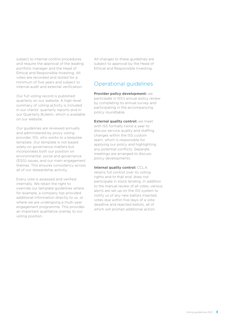<span id="page-4-0"></span>subject to internal control procedures and require the approval of the leading portfolio manager and the Head of Ethical and Responsible Investing. All votes are recorded and stored for a minimum of five years and subject to internal audit and external verification.

Our full voting record is published quarterly on our website. A high-level summary of voting activity is included in our clients' quarterly reports and in our Quarterly Bulletin, which is available on our website.

Our guidelines are reviewed annually and administered by proxy voting provider, ISS, who works to a bespoke template. Our template is not based solely on governance matters but incorporates both our position on environmental, social and governance (ESG) issues, and our main engagement themes. This ensures consistency across all of our stewardship activity.

Every vote is assessed and verified internally. We retain the right to override our template guidelines where, for example, a company has provided additional information directly to us, or where we are undergoing a multi-year engagement programme. This provides an important qualitative overlay to our voting position.

All changes to these guidelines are subject to approval by the Head of Ethical and Responsible Investing.

## Operational guidelines

**Provider policy development:** we participate in ISS's annual policy review by completing its annual survey and participating in the accompanying policy roundtable.

**External quality control:** we meet with ISS formally twice a year to discuss service quality and staffing changes within the ISS custom team, which is responsible for applying our policy and highlighting any potential conflicts. Separate meetings are arranged to discuss policy developments.

**Internal quality control: CCLA** retains full control over its voting

rights and to that end, does not participate in stock lending. In addition to the manual review of all votes, various alerts are set up on the ISS system to notify us of any new ballots inserted, votes due within five days of a vote deadline and rejected ballots, all of which will prompt additional action.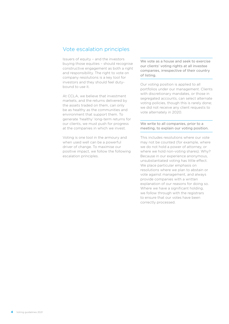### <span id="page-5-0"></span>Vote escalation principles

Issuers of equity – and the investors buying those equities – should recognise constructive engagement as both a right and responsibility. The right to vote on company resolutions is a key tool for investors and they should feel dutybound to use it.

At CCLA, we believe that investment markets, and the returns delivered by the assets traded on them, can only be as healthy as the communities and environment that support them. To generate 'healthy' long-term returns for our clients, we must push for progress at the companies in which we invest.

Voting is one tool in the armoury and when used well can be a powerful driver of change. To maximise our positive impact, we follow the following escalation principles.

We vote as a house and seek to exercise our clients' voting rights at all investee companies, irrespective of their country of listing.

Our voting position is applied to all portfolios under our management. Clients with discretionary mandates, or those in segregated accounts, can select alternate voting policies, though this is rarely done; we did not receive any client requests to vote alternately in 2020.

We write to all companies, prior to a meeting, to explain our voting position.

This includes resolutions where our vote may not be counted (for example, where we do not hold a power of attorney, or where we hold non-voting shares). Why? Because in our experience anonymous, unsubstantiated voting has little effect. We place particular emphasis on resolutions where we plan to abstain or vote against management, and always provide companies with a written explanation of our reasons for doing so. Where we have a significant holding. we follow through with the registrars to ensure that our votes have been correctly processed.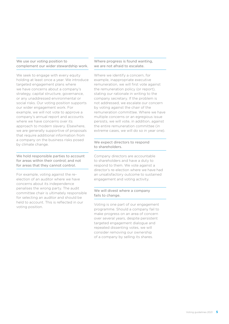#### We use our voting position to complement our wider stewardship work.

We seek to engage with every equity holding at least once a year. We introduce targeted engagement plans where we have concerns about a company's strategy, capital structure, governance, or any unaddressed environmental or social risks. Our voting position supports our wider engagement work. For example, we will not vote to approve a company's annual report and accounts where we have concerns over its approach to modern slavery. Elsewhere, we are generally supportive of proposals that require additional information from a company on the business risks posed by climate change.

#### We hold responsible parties to account for areas within their control; and not for areas that they cannot control.

For example, voting against the reelection of an auditor where we have concerns about its independence penalises the wrong party. The audit committee chair is ultimately responsible for selecting an auditor and should be held to account. This is reflected in our voting position.

#### Where progress is found wanting, we are not afraid to escalate.

Where we identify a concern, for example, inappropriate executive remuneration, we will first vote against the remuneration policy (or report), stating our rationale in writing to the company secretary. If the problem is not addressed, we escalate our concern by voting against the chair of the remuneration committee. Where we have multiple concerns or an egregious issue persists, we will vote, in addition, against the entire remuneration committee (in extreme cases, we will do so in year one).

#### We expect directors to respond to shareholders.

Company directors are accountable to shareholders and have a duty to respond to them. We vote against a director's re-election where we have had an unsatisfactory outcome to sustained engagement and voting activity.

#### We will divest where a company fails to change.

Voting is one part of our engagement programme. Should a company fail to make progress on an area of concern over several years, despite persistent targeted engagement dialogue and repeated dissenting votes, we will consider removing our ownership of a company by selling its shares.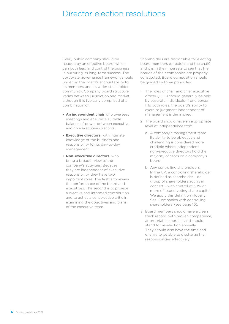## <span id="page-7-0"></span>Director election resolutions

Every public company should be headed by an effective board, which can both lead and control the business in nurturing its long-term success. The corporate governance framework should underpin the board's accountability to its members and its wider stakeholder community. Company board structure varies between jurisdiction and market, although it is typically comprised of a combination of:

- **An independent chair** who oversees meetings and ensures a suitable balance of power between executive and non-executive directors.
- **Executive directors**, with intimate knowledge of the business and responsibility for its day-to-day management.
- **Non-executive directors**, who bring a broader view to the company's activities. Because they are independent of executive responsibility, they have two important roles. The first is to review the performance of the board and executives. The second is to provide a creative and informed contribution and to act as a constructive critic in examining the objectives and plans of the executive team.

Shareholders are responsible for electing board members (directors and the chair) and it is in their interests to see that the boards of their companies are properly constituted. Board composition should be guided by three principles:

- 1. The roles of chair and chief executive officer (CEO) should generally be held by separate individuals. If one person fills both roles, the board's ability to exercise judgment independent of management is diminished.
- 2. The board should have an appropriate level of independence from:
	- a. A company's management team. Its ability to be objective and challenging is considered more credible where independent non-executive directors hold the majority of seats on a company's board.
	- b. Any controlling shareholders. In the UK, a controlling shareholder is defined as shareholder – or group of shareholders acting in concert – with control of 30% or more of issued voting share capital. We apply this definition globally. See 'Companies with controlling shareholders' [\(see page 10\).](#page-11-1)
- 3. Board members should have a clean track record, with proven competence, appropriate expertise, and should stand for re-election annually. They should also have the time and energy to be able to discharge their responsibilities effectively.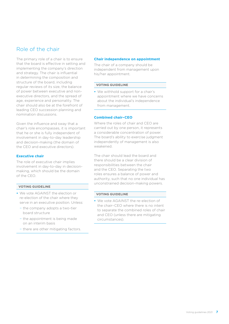## <span id="page-8-0"></span>Role of the chair

The primary role of a chair is to ensure that the board is effective in setting and implementing the company's direction and strategy. The chair is influential in determining the composition and structure of the board, including regular reviews of its size, the balance of power between executive and nonexecutive directors, and the spread of age, experience and personality. The chair should also be at the forefront of leading CEO succession planning and nomination discussions.

Given the influence and sway that a chair's role encompasses, it is important that he or she is fully independent of involvement in day-to-day leadership and decision-making (the domain of the CEO and executive directors).

#### **Executive chair**

The role of executive chair implies involvement in day-to-day in decisionmaking, which should be the domain of the CEO.

#### **VOTING GUIDELINE**

- **•** We vote AGAINST the election or re-election of the chair where they serve in an executive position. Unless:
	- − the company adopts a two-tier board structure
	- − the appointment is being made on an interim basis
	- − there are other mitigating factors.

#### **Chair independence on appointment**

The chair of a company should be independent from management upon his/her appointment.

#### **VOTING GUIDELINE**

**•** We withhold support for a chair's appointment where we have concerns about the individual's independence from management.

#### **Combined chair–CEO**

Where the roles of chair and CEO are carried out by one person, it represents a considerable concentration of power. The board's ability to exercise judgment independently of management is also weakened.

The chair should lead the board and there should be a clear division of responsibilities between the chair and the CEO. Separating the two roles ensures a balance of power and authority, such that no one individual has unconstrained decision-making powers.

#### **VOTING GUIDELINE**

**•** We vote AGAINST the re-election of the chair–CEO where there is no intent to separate the combined roles of chair and CEO (unless there are mitigating circumstances).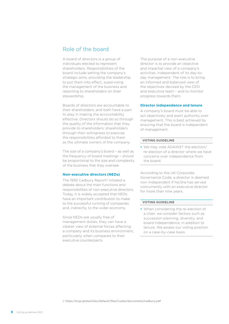## <span id="page-9-0"></span>Role of the board

A board of directors is a group of individuals elected to represent shareholders. Responsibilities of the board include setting the company's strategic aims, providing the leadership to put them into effect, supervising the management of the business and reporting to shareholders on their stewardship.

Boards of directors are accountable to their shareholders, and both have a part to play in making the accountability effective. Directors should do so through the quality of the information that they provide to shareholders; shareholders through their willingness to exercise the responsibilities afforded to them as the ultimate owners of the company.

The size of a company's board – as well as the frequency of board meetings – should be proportional to the size and complexity of the business that they oversee.

#### **Non-executive directors (NEDs)**

The 1992 Cadbury Report<sup>2</sup> initiated a debate about the main functions and responsibilities of non-executive directors. Today, it is widely accepted that NEDs have an important contribution to make to the successful running of companies and, indirectly, to the wider economy.

Since NEDs are usually free of management duties, they can have a clearer view of external forces affecting a company and its business environment, particularly when compared to their executive counterparts.

The purpose of a non-executive director is to provide an objective and impartial view of a company's activities, independent of its day-today management. The role is to bring an informed and balanced view of the objectives devised by the CEO and executive team – and to monitor progress towards them.

#### **Director independence and tenure**

A company's board must be able to act objectively and exert authority over management. This is best achieved by ensuring that the board is independent of management.

#### **VOTING GUIDELINE**

**•** We may vote AGAINST the election/ re-election of a director where we have concerns over independence from the board.

According to the UK Corporate Governance Code, a director is deemed non-independent if he/she has served concurrently with an executive director for more than nine years.

#### **VOTING GUIDELINE**

**•** When considering the re-election of a chair, we consider factors such as succession planning, diversity, and board independence, in addition to tenure. We assess our voting position on a case-by-case basis.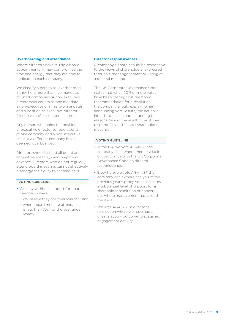#### <span id="page-10-0"></span>**Overboarding and attendance**

Where directors have multiple board appointments, it may compromise the time and energy that they are able to dedicate to each company.

We classify a person as 'overboarded' if they hold more than five mandates at listed companies. A non-executive directorship counts as one mandate, a non-executive chair as two mandates and a position as executive director (or equivalent) is counted as three.

Any person who holds the position of executive director (or equivalent) at one company and a non-executive chair at a different company is also deemed 'overboarded'.

Directors should attend all board and committee meetings and prepare in advance. Directors who do not regularly attend board meetings cannot effectively discharge their duty to shareholders.

#### **VOTING GUIDELINE**

- **•** We may withhold support for board members where:
	- − we believe they are 'overboarded' and
	- − where board meeting attendance is less than 75% for the year under review.

#### **Director responsiveness**

A company's board should be responsive to the views of shareholders, expressed through either engagement or voting at a general meeting.

The UK Corporate Governance Code states that when 20% or more votes have been cast against the board recommendation for a resolution, the company should explain (when announcing vote results) the action it intends to take in understanding the reasons behind the result. It must then respond fully at the next shareholder meeting.

- **•** In the UK, we vote AGAINST the company chair where there is a lack of compliance with the UK Corporate Governance Code on director responsiveness.
- **•** Elsewhere, we vote AGAINST the company chair where analysis of the previous year's proxy votes indicates a substantial level of support for a shareholder resolution or concern, but where management has closed the issue.
- **•** We vote AGAINST a director's re-election where we have had an unsatisfactory outcome to sustained engagement activity.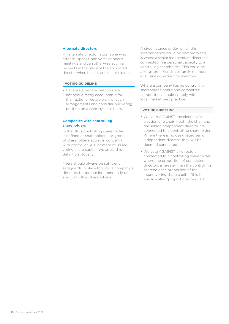#### <span id="page-11-0"></span>**Alternate directors**

An alternate director is someone who attends, speaks, and votes at board meetings and can otherwise act in all respects in the place of the appointed director when he or she is unable to do so.

#### **VOTING GUIDELINE**

**•** Because alternate directors are not held directly accountable for their actions, we are wary of such arrangements and consider our voting position on a case-by-case basis.

#### <span id="page-11-1"></span>**Companies with controlling shareholders**

In the UK, a controlling shareholder is defined as shareholder – or group of shareholders acting in concert – with control of 30% or more of issued voting share capital. We apply this definition globally.

There should always be sufficient safeguards in place to allow a company's directors to operate independently of any controlling shareholders.

A circumstance under which this independence could be compromised is where a senior independent director is connected in a personal capacity to a controlling shareholder. This could be a long-term friendship, family member or business partner, for example.

Where a company has no controlling shareholder, board and committee composition should comply with local market best practice.

- **•** We vote AGAINST the election/reelection of a chair if both the chair and the senior independent director are connected to a controlling shareholder. Where there is no designated senior independent director, they will be deemed connected.
- **•** We vote AGAINST all directors connected to a controlling shareholder where the proportion of connected directors is greater than the controlling shareholder's proportion of the issued voting share capital (this is our so-called 'proportionality rule').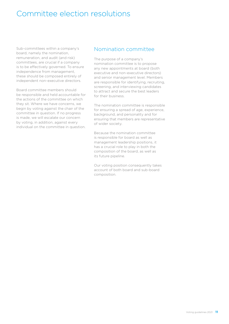## <span id="page-12-0"></span>Committee election resolutions

Sub-committees within a company's board, namely the nomination, remuneration, and audit (and risk) committees, are crucial if a company is to be effectively governed. To ensure independence from management, these should be composed entirely of independent non-executive directors.

Board committee members should be responsible and held accountable for the actions of the committee on which they sit. Where we have concerns, we begin by voting against the chair of the committee in question. If no progress is made, we will escalate our concern by voting, in addition, against every individual on the committee in question.

### Nomination committee

The purpose of a company's nomination committee is to propose any new appointments at board (both executive and non-executive directors) and senior management level. Members are responsible for identifying, recruiting, screening, and interviewing candidates to attract and secure the best leaders for their business.

The nomination committee is responsible for ensuring a spread of age, experience, background, and personality and for ensuring that members are representative of wider society.

Because the nomination committee is responsible for board as well as management leadership positions, it has a crucial role to play in both the composition of the board, as well as its future pipeline.

Our voting position consequently takes account of both board and sub-board composition.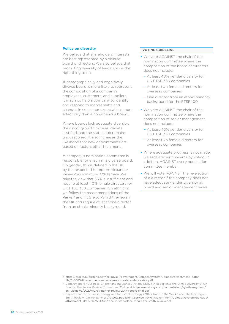#### <span id="page-13-0"></span>**Policy on diversity**

We believe that shareholders' interests are best represented by a diverse board of directors. We also believe that promoting diversity of leadership is the right thing to do.

A demographically and cognitively diverse board is more likely to represent the composition of a company's employees, customers, and suppliers. It may also help a company to identify and respond to market shifts and changes in consumer expectations more effectively than a homogenous board.

Where boards lack adequate diversity, the risk of groupthink rises, debate is stifled, and the status quo remains unquestioned. It also increases the likelihood that new appointments are based on factors other than merit.

A company's nomination committee is responsible for ensuring a diverse board. On gender, this is defined in the UK by the respected Hampton-Alexander Review3 as minimum 33% female. We take the view that 33% is insufficient and require at least 40% female directors for UK FTSE 350 companies. On ethnicity, we follow the recommendations of the Parker<sup>4</sup> and McGregor-Smith<sup>5</sup> reviews in the UK and require at least one director from an ethnic minority background.

- **•** We vote AGAINST the chair of the nomination committee where the composition of the board of directors does not include:
	- − At least 40% gender diversity for UK FTSE 350 companies
	- − At least two female directors for overseas companies
	- − One director from an ethnic minority background for the FTSE 100
- **•** We vote AGAINST the chair of the nomination committee where the composition of senior management does not include:
	- − At least 40% gender diversity for UK FTSE 350 companies
	- − At least two female directors for overseas companies
- **•** Where adequate progress is not made, we escalate our concerns by voting, in addition, AGAINST every nomination committee member.
- **•** We will vote AGAINST the re-election of a director if the company does not have adequate gender diversity at board and senior management levels.

- 3 [https://assets.publishing.service.gov.uk/government/uploads/system/uploads/attachment\\_data/](https://assets.publishing.service.gov.uk/government/uploads/system/uploads/attachment_data/file/613085/ftse-women-leaders-hampton-alexander-review.pdf) [file/613085/ftse-women-leaders-hampton-alexander-review.pdf](https://assets.publishing.service.gov.uk/government/uploads/system/uploads/attachment_data/file/613085/ftse-women-leaders-hampton-alexander-review.pdf)
- 4 Department for Business, Energy and Industrial Strategy (2017) 'A Report into the Ethnic Diversity of UK Boards: The Parker Review Committee.' Online at [https://assets.ey.com/content/dam/ey-sites/ey-com/](https://assets.ey.com/content/dam/ey-sites/ey-com/en_uk/news/2020/02/ey-parker-review-2017-report-final.pdf) [en\\_uk/news/2020/02/ey-parker-review-2017-report-final.pdf](https://assets.ey.com/content/dam/ey-sites/ey-com/en_uk/news/2020/02/ey-parker-review-2017-report-final.pdf)
- 5 Department for Business, Energy and Industrial Strategy (2017) 'Race in the Workplace: The McGregor-Smith Review.' Online at: [https://assets.publishing.service.gov.uk/government/uploads/system/uploads/](https://assets.publishing.service.gov.uk/government/uploads/system/uploads/attachment_data/file/594336/race-in-workplace-mcgregor-smith-review.pdf) [attachment\\_data/file/594336/race-in-workplace-mcgregor-smith-review.pdf](https://assets.publishing.service.gov.uk/government/uploads/system/uploads/attachment_data/file/594336/race-in-workplace-mcgregor-smith-review.pdf)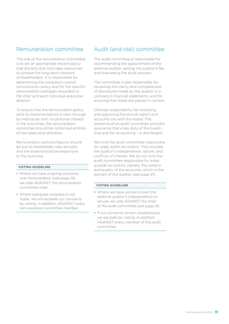## <span id="page-14-0"></span>Remuneration committee

The role of the remuneration committee is to set an appropriate reward policy that attracts and motivates executives to achieve the long-term interests of shareholders. It is responsible for determining the company's overall remuneration policy and for the specific remuneration packages rewarded to the chair and each individual executive director

To ensure that the remuneration policy (and its implementation) is seen through by individuals with no personal interest in the outcomes, the remuneration committee should be comprised entirely of non-executive directors.

Remuneration policies/reports should be put to shareholder vote annually and the board should be responsive to the outcome.

#### **VOTING GUIDELINE**

- **•** Where we have ongoing concerns over remuneration [\(see page 14\)](#page-15-1) we vote AGAINST the remuneration committee chair.
- **•** Where adequate progress is not made, we will escalate our concerns by voting, in addition, AGAINST every remuneration committee member.

## <span id="page-14-1"></span>Audit (and risk) committee

The audit committee is responsible for recommending the appointment of the external auditor, setting the auditor's fee, and overseeing the audit process.

The committee is also responsible for reviewing the clarity and completeness of disclosures made by the auditor in a company's financial statements, and for ensuring that these are placed in context.

Ultimate responsibility for reviewing and approving the annual report and accounts sits with the board. The presence of an audit committee provides assurance that a key duty of the board – true and fair accounting – is discharged.

We hold the audit committee responsible for areas within its control. This includes the auditor's independence, tenure, and conflicts of interest. We do not hold the audit committee responsible for areas outside its control; namely, the content and quality of the accounts, which is the domain of the auditor [\(see page 21\).](#page-22-1)

- **•** Where we have concerns over the external auditor's independence or tenure, we vote AGAINST the chair of the audit committee [\(see page 21\)](#page-22-1).
- **•** If our concerns remain unaddressed, we escalate by voting, in addition, AGAINST every member of the audit committee.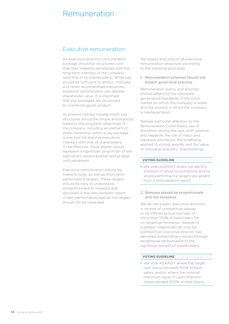## <span id="page-15-1"></span><span id="page-15-0"></span>Remuneration

### Executive remuneration

An executive director's remuneration package should be structured such that their interests are aligned with the long-term interests of the company (and that of its shareholders). While pay should be sufficient to attract, motivate and retain accomplished executives, excessive remuneration can deplete shareholder value. It is important that pay packages are structured to incentivise good conduct.

To prevent interest misalignment, pay structures should be simple and explicitly linked to the long-term objectives of the company. Including an element of share ownership within a pay package is one tool for aligning executives' interests with that of shareholders. To be effective, those shares should represent a significant proportion of the executive's reward and be held at least until retirement.

Executive remuneration should be linked to long- as well as short-term performance targets. These targets should be easy to understand, straightforward to measure and disclosed in the remuneration report. Under-performance against the targets should not be rewarded.

We assess and vote on all executive remuneration proposals according to the following principles:

1. Remuneration schemes should not breach good local practice.

Remuneration policy and practice should adhere to the corporate governance standards of the stock market on which the company is listed, and the country in which the company is headquartered.

We pay particular attention to the Remuneration Committee's use of discretion during the year, both positive and negative; the use of malus and clawback provisions; the timeframe applied to joining awards; and the value of individual directors' shareholdings.

#### **VOTING GUIDELINE**

- **•** We vote AGAINST where we identify a breach of good local practice and/or where performance targets are absent from a remuneration report.
- 2. Bonuses should be proportionate and not excessive.

We do not expect executive directors in receipt of competitive salaries to be offered annual bonuses of more than 100% of base salary for on target performance. Awards of a greater magnitude can only be justified if an executive director has delivered extraordinary results through exceptional performance to the significant benefit of shareholders.

#### **VOTING GUIDELINE**

**•** We vote AGAINST where the target cash bonus exceeds 100% of base salary and/or where the nominal maximum value of cash/retention shares exceed 200% of base salary.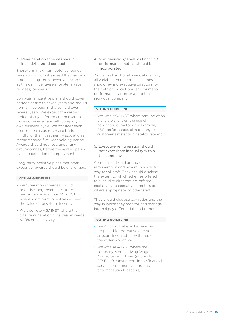#### 3. Remuneration schemes should incentivise good conduct

Short-term maximum potential bonus rewards should not exceed the maximum potential long-term incentive rewards, as this can incentivise short-term (even reckless) behaviour.

Long-term incentive plans should cover periods of five to seven years and should normally be paid in shares held over several years. We expect the vesting period of any deferred compensation to be commensurate with company's own business cycle. We consider each proposal on a case-by-case basis, mindful of the Investment Association's recommended five-year holding period. Awards should not vest, under any circumstances, before the agreed period, even on cessation of employment.

Long-term incentive plans that offer excessive rewards should be challenged.

#### **VOTING GUIDELINE**

- **•** Remuneration schemes should prioritise long- over short-term performance. We vote AGAINST where short-term incentives exceed the value of long-term incentives.
- **•** We also vote AGAINST where the total remuneration for a year exceeds 600% of base salary.

4. Non-financial (as well as financial) performance metrics should be incorporated

As well as traditional financial metrics, all variable remuneration schemes should reward executive directors for their ethical, social, and environmental performance, appropriate to the individual company.

#### **VOTING GUIDELINE**

- **•** We vote AGAINST where remuneration plans are silent on the use of non-financial factors; for example, ESG performance, climate targets, customer satisfaction, fatality rate etc.
- 5. Executive remuneration should not exacerbate inequality within the company

Companies should approach remuneration and reward in a holistic way for all staff. They should disclose the extent to which schemes offered to executive directors are offered exclusively to executive directors or, where appropriate, to other staff.

They should disclose pay ratios and the way in which they monitor and manage internal pay differentials and trends.

- **•** We ABSTAIN where the pension proposed for executive directors appears inconsistent with that of the wider workforce.
- **•** We vote AGAINST where the company is not a Living Wage Accredited employer (applies to FTSE 100 constituents in the financial services, communications, and pharmaceuticals sectors).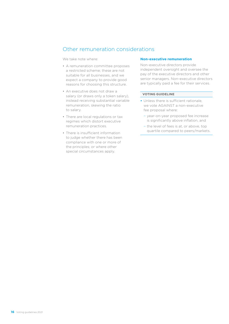## <span id="page-17-0"></span>Other remuneration considerations

We take note where:

- A remuneration committee proposes a restricted scheme; these are not suitable for all businesses, and we expect a company to provide good reasons for choosing this structure.
- An executive does not draw a salary (or draws only a token salary), instead receiving substantial variable remuneration, skewing the ratio to salary.
- There are local regulations or tax regimes which distort executive remuneration practices.
- There is insufficient information to judge whether there has been compliance with one or more of the principles; or where other special circumstances apply.

#### **Non-executive remuneration**

Non-executive directors provide independent oversight and oversee the pay of the executive directors and other senior managers. Non-executive directors are typically paid a fee for their services.

- **•** Unless there is sufficient rationale, we vote AGAINST a non-executive fee proposal where:
	- − year-on-year proposed fee increase is significantly above inflation, and
- − the level of fees is at, or above, top quartile compared to peers/markets.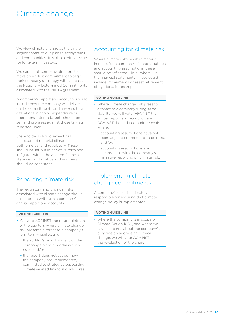## <span id="page-18-0"></span>Climate change

We view climate change as the single largest threat to our planet, ecosystems and communities. It is also a critical issue for long-term investors.

We expect all company directors to make an explicit commitment to align their company's strategy with, at least, the Nationally Determined Commitments associated with the Paris Agreement.

A company's report and accounts should include how the company will deliver on the commitments and any resulting alterations in capital expenditure or operations. Interim targets should be set, and progress against those targets reported upon.

Shareholders should expect full disclosure of material climate risks, both physical and regulatory. These should be set out in narrative form and in figures within the audited financial statements. Narrative and numbers should be consistent.

## Reporting climate risk

The regulatory and physical risks associated with climate change should be set out in writing in a company's annual report and accounts.

#### **VOTING GUIDELINE**

- **•** We vote AGAINST the re-appointment of the auditors where climate change risk presents a threat to a company's long term-viability, and:
	- − the auditor's report is silent on the company's plans to address such risks, and/or
	- − the report does not set out how the company has implemented/ committed to strategies supporting climate-related financial disclosures.

## Accounting for climate risk

Where climate risks result in material impacts for a company's financial outlook and accounting assumptions, these should be reflected – in numbers – in the financial statements. These could include impairments or asset retirement obligations, for example.

#### **VOTING GUIDELINE**

- **•** Where climate change risk presents a threat to a company's long-term viability, we will vote AGAINST the annual report and accounts, and AGAINST the audit committee chair where:
	- − accounting assumptions have not been adjusted to reflect climate risks, and/or;
	- − accounting assumptions are inconsistent with the company's narrative reporting on climate risk.

## Implementing climate change commitments

A company's chair is ultimately responsible for ensuring that climate change policy is implemented.

#### **VOTING GUIDELINE**

**•** Where the company is in scope of Climate Action 100+, and where we have concerns about the company's progress on addressing climate change, we will vote AGAINST the re-election of the chair.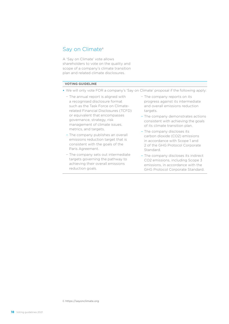### <span id="page-19-1"></span><span id="page-19-0"></span>Say on Climate<sup>6</sup>

A 'Say on Climate' vote allows shareholders to vote on the quality and scope of a company's climate transition plan and related climate disclosures.

- **•** We will only vote FOR a company's 'Say on Climate' proposal if the following apply:
	- − The annual report is aligned with a recognised disclosure format such as the Task Force on Climaterelated Financial Disclosures (TCFD) or equivalent that encompasses governance, strategy, risk management of climate issues, metrics, and targets.
	- − The company publishes an overall emissions reduction target that is consistent with the goals of the Paris Agreement.
	- − The company sets out intermediate targets governing the pathway to achieving their overall emissions reduction goals.
- − The company reports on its progress against its intermediate and overall emissions reduction targets.
- − The company demonstrates actions consistent with achieving the goals of its climate transition plan.
- − The company discloses its carbon dioxide (CO2) emissions in accordance with Scope 1 and 2 of the GHG Protocol Corporate Standard.
- − The company discloses its indirect CO2 emissions, including Scope 3 emissions, in accordance with the GHG Protocol Corporate Standard.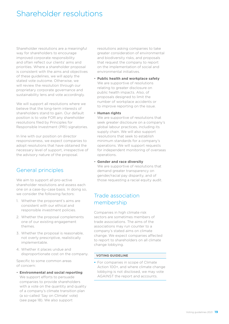## <span id="page-20-0"></span>Shareholder resolutions

Shareholder resolutions are a meaningful way for shareholders to encourage improved corporate responsibility and often reflect our clients' aims and priorities. Where a shareholder proposal is consistent with the aims and objectives of these guidelines, we will apply the stated vote outcome. Otherwise, we will review the resolution through our proprietary corporate governance and sustainability lens and vote accordingly.

We will support all resolutions where we believe that the long-term interests of shareholders stand to gain. Our default position is to vote FOR any shareholder resolutions filed by Principles for Responsible Investment (PRI) signatories.

In line with our position on director responsiveness, we expect companies to adopt resolutions that have obtained the necessary level of support, irrespective of the advisory nature of the proposal.

## General principles

We aim to support all pro-active shareholder resolutions and assess each one on a case-by-case basis. In doing so, we consider the following factors:

- 1. Whether the proponent's aims are consistent with our ethical and responsible investment policies.
- 2. Whether the proposal complements one of our existing engagement themes.
- 3. Whether the proposal is reasonable, not overly prescriptive, realistically implementable.
- 4. Whether it places undue and disproportionate cost on the company.

Specific to some common areas of concern:

• **Environmental and social reporting** We support efforts to persuade companies to provide shareholders with a vote on the quantity and quality of a company's climate transition plan (a so-called 'Say on Climate' vote) [\(see page 18\)](#page-19-1). We also support

resolutions asking companies to take greater consideration of environmental and biodiversity risks, and proposals that request the company to report on the implementation of social and environmental initiatives.

- **Public health and workplace safety** We are supportive of resolutions relating to greater disclosure on public health impacts. Also, of proposals designed to limit the number of workplace accidents or to improve reporting on the issue.
- **Human rights**

We are supportive of resolutions that seek greater disclosure on a company's global labour practices, including its supply chain. We will also support resolutions that seek to establish minimum standards for a company's operations. We will support requests for independent monitoring of overseas operations.

• **Gender and race diversity** We are supportive of resolutions that demand greater transparency on gender/racial pay disparity, and of those requesting a racial equity audit.

## Trade association membership

Companies in high climate risk sectors are sometimes members of trade associations. The aims of the associations may run counter to a company's stated aims on climate change. We expect companies affected to report to shareholders on all climate change lobbying.

#### **VOTING GUIDELINE**

**•** For companies in scope of Climate Action 100+, and where climate change lobbying is not disclosed, we may vote AGAINST the report and accounts.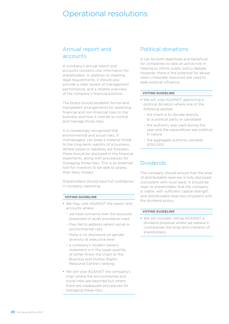## <span id="page-21-0"></span>Operational resolutions

## <span id="page-21-1"></span>Annual report and accounts

A company's annual report and accounts contains vital information for shareholders. In addition to meeting legal requirements, it should also provide a clear review of management performance, and a reliable overview of the company's financial position.

The board should establish formal and transparent arrangements for assessing financial and non-financial risks to the business and how it intends to control and manage those risks.

It is increasingly recognised that environmental and social risks, if mismanaged, can pose a material threat to the long-term viability of a business. Where losses or liabilities are foreseen, these should be disclosed in the financial statements, along with procedures for managing those risks. This is an essential tool for investors to be able to assess their likely impact.

Shareholders should have full confidence in company reporting.

#### **VOTING GUIDELINE**

- **•** We may vote AGAINST the report and accounts where:
	- − we have concerns over the accounts presented or audit procedure used
	- − they fail to address salient social or environmental risks
	- − there is no disclosure on gender diversity at executive level
	- − a company's modern slavery statement is in the lower quartile of either Know the Chain or the Business and Human Rights Resource Centre's ranking.
- **•** We will vote AGAINST the company's chair where the environmental and social risks are reported but where there are inadequate procedures for managing these risks.

### Political donations

It can be both legitimate and beneficial for companies to take an active role in helping to inform public policy debate. However, there is the potential for abuse when corporate resources are used to seek political influence.

#### **VOTING GUIDELINE**

- **•** We will vote AGAINST approving a political donation where one of the following applies:
	- − the intent is to donate directly to a political party or candidate
	- − the authority was used during the year and the expenditure was political in nature
	- − the aggregate authority exceeds £100,000.

### Dividends

The company should ensure that the level of distributable reserves is fully disclosed (consistent with local laws). It should be clear to shareholders that the company is viable, with sufficient capital strength, and distributable reserves consistent with the dividend policy.

#### **VOTING GUIDELINE**

**•** We will consider voting AGAINST a dividend proposal where we believe it contravenes the long-term interests of shareholders.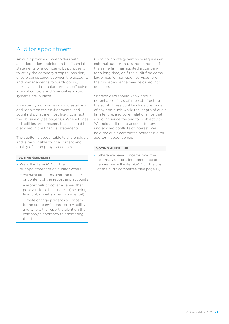## <span id="page-22-1"></span><span id="page-22-0"></span>Auditor appointment

An audit provides shareholders with an independent opinion on the financial statements of a company. Its purpose is to verify the company's capital position, ensure consistency between the accounts and management's forward-looking narrative, and to make sure that effective internal controls and financial reporting systems are in place.

Importantly, companies should establish and report on the environmental and social risks that are most likely to affect their business [\(see page 20\)](#page-21-1). Where losses or liabilities are foreseen, these should be disclosed in the financial statements.

The auditor is accountable to shareholders and is responsible for the content and quality of a company's accounts.

#### **VOTING GUIDELINE**

- **•** We will vote AGAINST the re-appointment of an auditor where:
	- − we have concerns over the quality or content of the report and accounts
	- − a report fails to cover all areas that pose a risk to the business (including financial, social, and environmental)
	- − climate change presents a concern to the company's long-term viability and where the report is silent on the company's approach to addressing the risks.

Good corporate governance requires an external auditor that is independent. If the same firm has audited a company for a long time, or if the audit firm earns large fees for non-audit services, then their independence may be called into question.

Shareholders should know about potential conflicts of interest affecting the audit. These could include the value of any non-audit work; the length of audit firm tenure; and other relationships that could influence the auditor's objectivity. We hold auditors to account for any undisclosed conflicts of interest. We hold the audit committee responsible for auditor independence.

#### **VOTING GUIDELINE**

**•** Where we have concerns over the external auditor's independence or tenure, we will vote AGAINST the chair of the audit committee [\(see page 13\).](#page-14-1)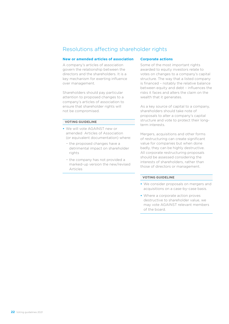## <span id="page-23-0"></span>Resolutions affecting shareholder rights

#### **New or amended articles of association**

A company's articles of association govern the relationship between the directors and the shareholders. It is a key mechanism for exerting influence over management.

Shareholders should pay particular attention to proposed changes to a company's articles of association to ensure that shareholder rights will not be compromised.

#### **VOTING GUIDELINE**

- **•** We will vote AGAINST new or amended Articles of Association (or equivalent documentation) where:
	- − the proposed changes have a detrimental impact on shareholder rights
	- − the company has not provided a marked-up version the new/revised Articles

#### **Corporate actions**

Some of the most important rights awarded to equity investors relate to votes on changes to a company's capital structure. The way that a listed company is financed – notably the relative balance between equity and debt – influences the risks it faces and alters the claim on the wealth that it generates.

As a key source of capital to a company, shareholders should take note of proposals to alter a company's capital structure and vote to protect their longterm interests.

Mergers, acquisitions and other forms of restructuring can create significant value for companies but when done badly, they can be highly destructive. All corporate restructuring proposals should be assessed considering the interests of shareholders, rather than those of directors or management.

- **•** We consider proposals on mergers and acquisitions on a case-by-case basis.
- **•** Where a corporate action proves destructive to shareholder value, we may vote AGAINST relevant members of the board.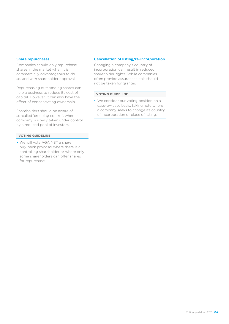#### <span id="page-24-0"></span>**Share repurchases**

Companies should only repurchase shares in the market when it is commercially advantageous to do so, and with shareholder approval.

Repurchasing outstanding shares can help a business to reduce its cost of capital. However, it can also have the effect of concentrating ownership.

Shareholders should be aware of so-called 'creeping control', where a company is slowly taken under control by a reduced pool of investors.

#### **VOTING GUIDELINE**

**•** We will vote AGAINST a share buy-back proposal where there is a controlling shareholder or where only some shareholders can offer shares for repurchase.

#### **Cancellation of listing/re-incorporation**

Changing a company's country of incorporation can result in reduced shareholder rights. While companies often provide assurances, this should not be taken for granted.

#### **VOTING GUIDELINE**

**•** We consider our voting position on a case-by-case basis, taking note where a company seeks to change its country of incorporation or place of listing.